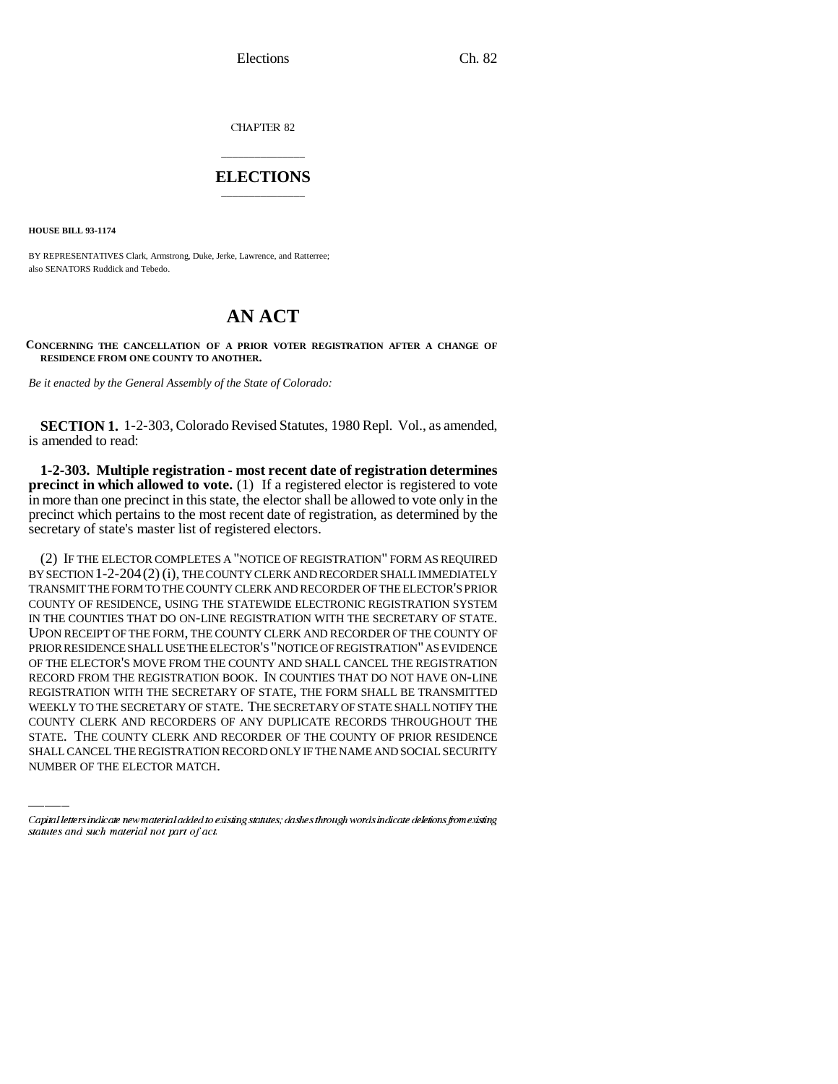Elections Ch. 82

CHAPTER 82

## \_\_\_\_\_\_\_\_\_\_\_\_\_\_\_ **ELECTIONS** \_\_\_\_\_\_\_\_\_\_\_\_\_\_\_

**HOUSE BILL 93-1174**

BY REPRESENTATIVES Clark, Armstrong, Duke, Jerke, Lawrence, and Ratterree; also SENATORS Ruddick and Tebedo.

## **AN ACT**

**CONCERNING THE CANCELLATION OF A PRIOR VOTER REGISTRATION AFTER A CHANGE OF RESIDENCE FROM ONE COUNTY TO ANOTHER.**

*Be it enacted by the General Assembly of the State of Colorado:*

**SECTION 1.** 1-2-303, Colorado Revised Statutes, 1980 Repl. Vol., as amended, is amended to read:

**1-2-303. Multiple registration - most recent date of registration determines precinct in which allowed to vote.** (1) If a registered elector is registered to vote in more than one precinct in this state, the elector shall be allowed to vote only in the precinct which pertains to the most recent date of registration, as determined by the secretary of state's master list of registered electors.

WEEKLY TO THE SECRETARY OF STATE. THE SECRETARY OF STATE SHALL NOTIFY THE (2) IF THE ELECTOR COMPLETES A "NOTICE OF REGISTRATION" FORM AS REQUIRED BY SECTION 1-2-204(2) (i), THE COUNTY CLERK AND RECORDER SHALL IMMEDIATELY TRANSMIT THE FORM TO THE COUNTY CLERK AND RECORDER OF THE ELECTOR'S PRIOR COUNTY OF RESIDENCE, USING THE STATEWIDE ELECTRONIC REGISTRATION SYSTEM IN THE COUNTIES THAT DO ON-LINE REGISTRATION WITH THE SECRETARY OF STATE. UPON RECEIPT OF THE FORM, THE COUNTY CLERK AND RECORDER OF THE COUNTY OF PRIOR RESIDENCE SHALL USE THE ELECTOR'S "NOTICE OF REGISTRATION" AS EVIDENCE OF THE ELECTOR'S MOVE FROM THE COUNTY AND SHALL CANCEL THE REGISTRATION RECORD FROM THE REGISTRATION BOOK. IN COUNTIES THAT DO NOT HAVE ON-LINE REGISTRATION WITH THE SECRETARY OF STATE, THE FORM SHALL BE TRANSMITTED COUNTY CLERK AND RECORDERS OF ANY DUPLICATE RECORDS THROUGHOUT THE STATE. THE COUNTY CLERK AND RECORDER OF THE COUNTY OF PRIOR RESIDENCE SHALL CANCEL THE REGISTRATION RECORD ONLY IF THE NAME AND SOCIAL SECURITY NUMBER OF THE ELECTOR MATCH.

Capital letters indicate new material added to existing statutes; dashes through words indicate deletions from existing statutes and such material not part of act.